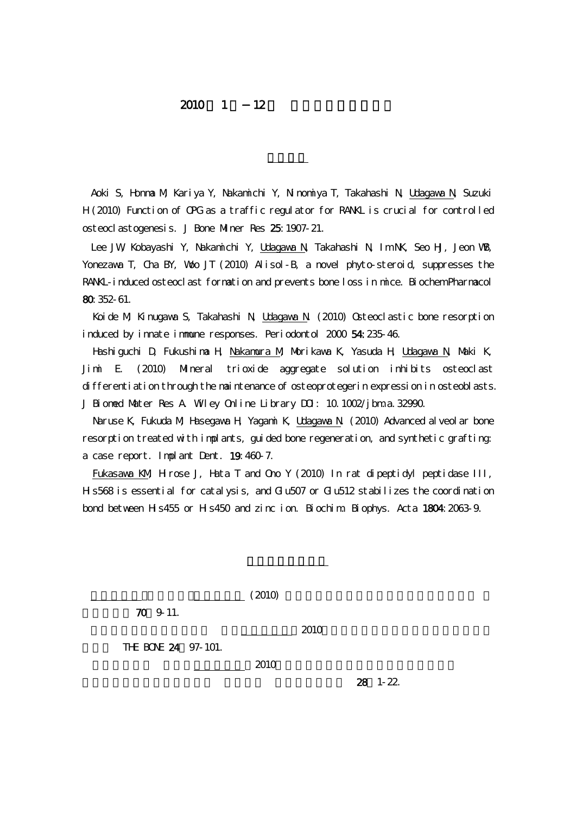## $2010 \quad 1 \quad 12$

Aoki S, Honma M, Kariya Y, Nakamichi Y, Ninomiya T, Takahashi N, Udagawa N, Suzuki H (2010) Function of OPG as a traffic regulator for RANKL is crucial for controlled osteoclastogenesis. J Bone Miner Res 25:1907-21.

Lee JW, Kobayashi Y, Nakaninchi Y, Udagawa N, Takahashi N, Im NK, Seo HJ, Jeon WB, Yonezawa T, Cha BY, Woo JT (2010) Alisol-B, a novel phyto-steroid, suppresses the RANKL-induced osteoclast formation and prevents bone loss in mice. Biochem Pharmacol 80:352-61.

Koide M, Kinugawa S, Takahashi N, Udagawa N. (2010) Osteoclastic bone resorption induced by innate immune responses. Periodontol 2000 54:235-46.

Hashiguchi D, Fukushima H, Nakamura M, Morikawa K, Yasuda H, Udagawa N, Maki K, Jimi E. (2010) Mineral trioxide aggregate solution inhibits osteoclast differentiation through the maintenance of osteoprotegerin expression in osteoblasts. J Bioned Mater Res A Wiley Online Library DOI: 10.1002/jbm.a. 32990.

Naruse K, Fukuda M, Hasegawa H, Yagami K, Udagawa N. (2010) Advanced alveolar bone resorption treated with implants, guided bone regeneration, and synthetic grafting: a case report. Implant Dent. 19:460-7.

Fukasawa KM, Hirose J, Hata T and Ono Y (2010) In rat dipeptidyl peptidase III, Hs568 is essential for catalysis, and Glu507 or Glu512 stabilizes the coordination bond between H s 455 or H s 450 and zinc ion. Biochim. Biophys. Acta 1804: 2063-9.



 $28$  1-22.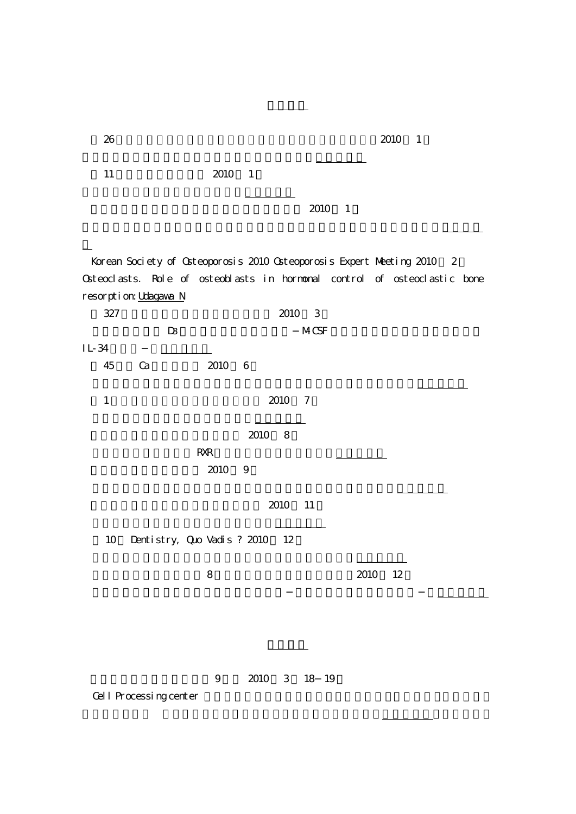| 26                                                                        |                             |                      |                          | 2010       | $\overline{1}$ |
|---------------------------------------------------------------------------|-----------------------------|----------------------|--------------------------|------------|----------------|
| 11                                                                        | 2010 1                      |                      |                          |            |                |
|                                                                           |                             |                      | 2010<br>$\overline{1}$   |            |                |
| Korean Society of Osteoporosis 2010 Osteoporosis Expert Meeting 2010      |                             |                      |                          |            | $\mathbf{2}$   |
| Osteoclasts. Role of osteoblasts in hormonal control of osteoclastic bone |                             |                      |                          |            |                |
| resorption Udagawa N                                                      |                             |                      |                          |            |                |
| 327                                                                       |                             | 2010                 | $\overline{\phantom{a}}$ |            |                |
| $\mathbf{D}$                                                              |                             |                      | <b>MCSF</b>              |            |                |
| IL-34                                                                     |                             |                      |                          |            |                |
| 45<br>Ca                                                                  | 2010                        | 6                    |                          |            |                |
| $1\,$                                                                     |                             | 2010                 | $\overline{7}$           |            |                |
|                                                                           |                             | 2010<br>8            |                          |            |                |
|                                                                           | <b>RXR</b><br>2010          | $\overline{9}$       |                          |            |                |
|                                                                           |                             | 2010                 | 11                       |            |                |
| 10                                                                        | Dentistry, Quo Vadis ? 2010 | 12                   |                          |            |                |
|                                                                           | $8\,$                       |                      |                          | 2010<br>12 |                |
|                                                                           |                             |                      |                          |            |                |
|                                                                           |                             |                      |                          |            |                |
| Cell Processing center                                                    | $\boldsymbol{9}$            | 2010<br>$\mathbf{3}$ | 18 19                    |            |                |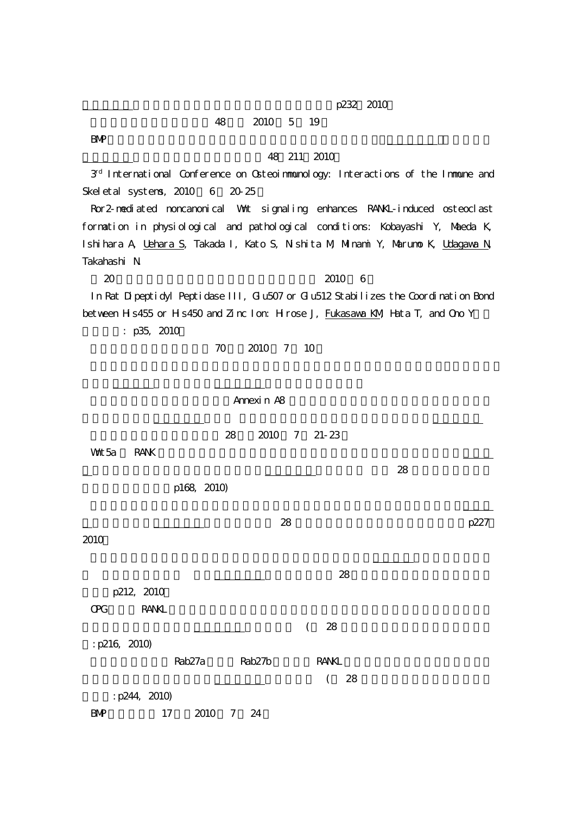p232, 2010

## 18 2010 5 19

 $B\vee P$ 

## 48 211 2010

3rd International Conference on Osteoimmunology: Interactions of the Immune and Skeletal systems,  $2010$  6  $20-25$ 

Ror2-mediated noncanonical Wnt signaling enhances RANKL-induced osteoclast formation in physiological and pathological conditions: Kobayashi Y, Maeda K, Ishihara A, Uehara S, Takada I, Kato S, Nishita M, Minami Y, Marumo K, Udagawa N, Takahashi N.

 $2010\quad 6$ 

In Rat Dipeptidyl Peptidase III, Glu507 or Glu512 Stabilizes the Coordination Bond between H s 455 or H s 450 and Zinc Ion: H rose J, Fukasawa KM, Hata T, and Ono Y

: p35, 2010

70 2010 7 10

| Annexi n A8                                                |      |
|------------------------------------------------------------|------|
| 2010 7 21-23<br>28<br>Wht 5a<br>RANK<br>28                 |      |
| p168, 2010)                                                |      |
| 28<br>2010                                                 | p227 |
| 28<br>p212, 2010                                           |      |
| QC<br><b>RANKL</b>                                         |      |
| $28\,$<br>$\left($<br>: p216, 2010)                        |      |
| Rab <sub>27</sub> a<br>Rab <sub>27</sub> b<br><b>RANIL</b> |      |
| 28<br>$\left($<br>: p244, 2010)                            |      |
| 2010<br>7 24<br>17<br>$B\!M\!P$                            |      |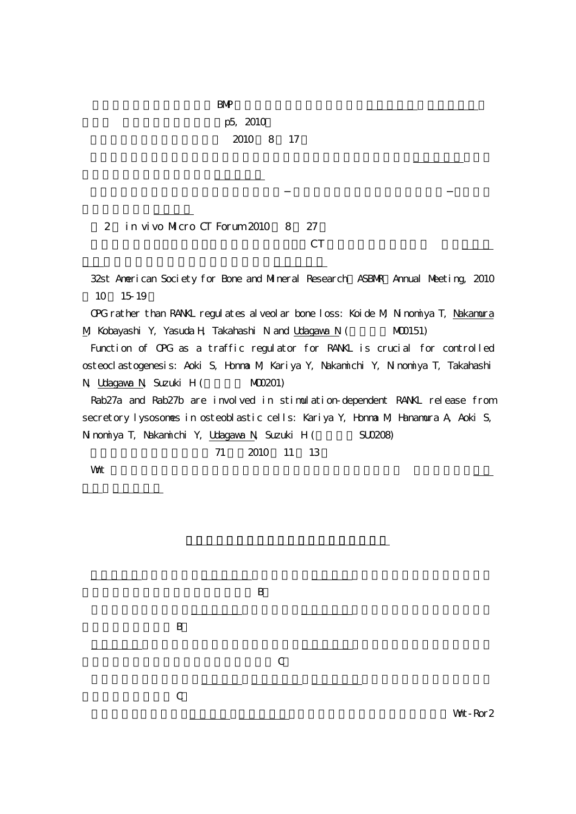| $B\!M\!P$ |  |  |  |
|-----------|--|--|--|
| p5, 2010  |  |  |  |
| 2010 8 17 |  |  |  |

 $2$  in vivo Micro CT Forum 2010  $8$  27  $CT$ 

32st American Society for Bone and Mineral Research ASBNR Annual Meeting, 2010 10 15-19 OPG rather than RANKL regulates alveolar bone loss: Koide M, Ninomiya T, Nakamura M, Kobayashi Y, Yasuda H, Takahashi N and Udagawa N (WO0151)

Function of OPG as a traffic regulator for RANKL is crucial for controlled osteoclastogenesis: Aoki S, Honma M, Kariya Y, Nakamichi Y, Ninomiya T, Takahashi N, Udagawa N, Suzuki H (M00201)

Rab27a and Rab27b are involved in stimulation-dependent RANKL release from secretory lysosomes in osteoblastic cells: Kariya Y, Honma M, Hanamura A, Aoki S, Ninomiya T, Nakamichi Y, Udagawa N, Suzuki H (SU0208)

11 2010 11 13

What we want to be a strong when the strong and the strong and the strong strong and the strong strong strong  $\sim$ 

|             | $\boldsymbol{B}$ |               |  |
|-------------|------------------|---------------|--|
|             |                  |               |  |
|             |                  | $\, {\bf B}$  |  |
|             | $\mathcal{C}$    |               |  |
|             |                  | $\mathcal{C}$ |  |
| Wat - Ror 2 |                  |               |  |